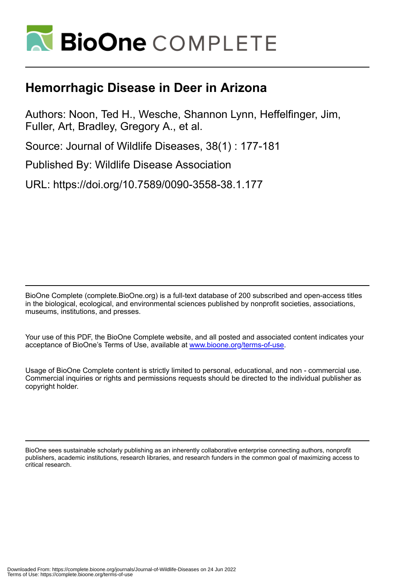

## **Hemorrhagic Disease in Deer in Arizona**

Authors: Noon, Ted H., Wesche, Shannon Lynn, Heffelfinger, Jim, Fuller, Art, Bradley, Gregory A., et al.

Source: Journal of Wildlife Diseases, 38(1) : 177-181

Published By: Wildlife Disease Association

URL: https://doi.org/10.7589/0090-3558-38.1.177

BioOne Complete (complete.BioOne.org) is a full-text database of 200 subscribed and open-access titles in the biological, ecological, and environmental sciences published by nonprofit societies, associations, museums, institutions, and presses.

Your use of this PDF, the BioOne Complete website, and all posted and associated content indicates your acceptance of BioOne's Terms of Use, available at www.bioone.org/terms-of-use.

Usage of BioOne Complete content is strictly limited to personal, educational, and non - commercial use. Commercial inquiries or rights and permissions requests should be directed to the individual publisher as copyright holder.

BioOne sees sustainable scholarly publishing as an inherently collaborative enterprise connecting authors, nonprofit publishers, academic institutions, research libraries, and research funders in the common goal of maximizing access to critical research.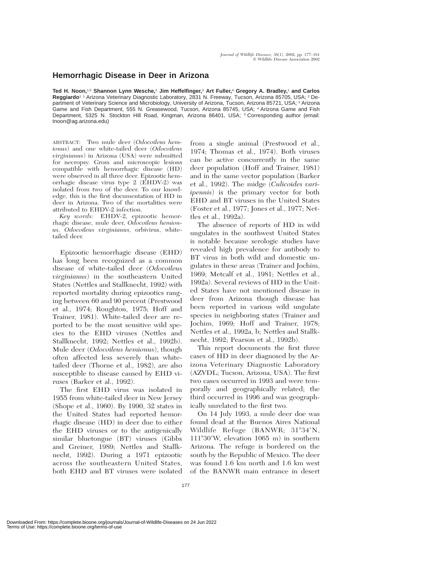## **Hemorrhagic Disease in Deer in Arizona**

**Ted H. Noon,**1,5 **Shannon Lynn Wesche,**<sup>2</sup> **Jim Heffelfinger,**<sup>3</sup> **Art Fuller,**<sup>4</sup> **Gregory A. Bradley,**<sup>1</sup> **and Carlos Reggiardo**1 1 Arizona Veterinary Diagnostic Laboratory, 2831 N. Freeway, Tucson, Arizona 85705, USA; <sup>2</sup> Department of Veterinary Science and Microbiology, University of Arizona, Tucson, Arizona 85721, USA; <sup>3</sup> Arizona Game and Fish Department, 555 N. Greasewood, Tucson, Arizona 85745, USA; <sup>4</sup> Arizona Game and Fish Department, 5325 N. Stockton Hill Road, Kingman, Arizona 86401, USA; <sup>5</sup> Corresponding author (email: tnoon@ag.arizona.edu)

ABSTRACT: Two mule deer (*Odocoileus hemionus*) and one white-tailed deer (*Odocoileus virginianus*) in Arizona (USA) were submitted for necropsy. Gross and microscopic lesions compatible with hemorrhagic disease (HD) were observed in all three deer. Epizootic hemorrhagic disease virus type 2 (EHDV-2) was isolated from two of the deer. To our knowledge, this is the first documentation of HD in deer in Arizona. Two of the mortalities were attributed to EHDV-2 infection.

*Key words:* EHDV-2, epizootic hemorrhagic disease, mule deer, *Odocoileus hemionus, Odocoileus virginianus,* orbivirus, whitetailed deer.

Epizootic hemorrhagic disease (EHD) has long been recognized as a common disease of white-tailed deer (*Odocoileus virginianus*) in the southeastern United States (Nettles and Stallknecht, 1992) with reported mortality during epizootics ranging between 60 and 90 percent (Prestwood et al., 1974; Roughton, 1975; Hoff and Trainer, 1981). White-tailed deer are reported to be the most sensitive wild species to the EHD viruses (Nettles and Stallknecht, 1992; Nettles et al., 1992b). Mule deer (*Odocoileus hemionus*), though often affected less severely than whitetailed deer (Thorne et al., 1982), are also susceptible to disease caused by EHD viruses (Barker et al., 1992).

The first EHD virus was isolated in 1955 from white-tailed deer in New Jersey (Shope et al., 1960). By 1990, 32 states in the United States had reported hemorrhagic disease (HD) in deer due to either the EHD viruses or to the antigenically similar bluetongue (BT) viruses (Gibbs and Greiner, 1989; Nettles and Stallknecht, 1992). During a 1971 epizootic across the southeastern United States, both EHD and BT viruses were isolated

from a single animal (Prestwood et al., 1974; Thomas et al., 1974). Both viruses can be active concurrently in the same deer population (Hoff and Trainer, 1981) and in the same vector population (Barker et al., 1992). The midge (*Culicoides variipennis*) is the primary vector for both EHD and BT viruses in the United States (Foster et al., 1977; Jones et al., 1977; Nettles et al., 1992a).

The absence of reports of HD in wild ungulates in the southwest United States is notable because serologic studies have revealed high prevalence for antibody to BT virus in both wild and domestic ungulates in these areas (Trainer and Jochim, 1969; Metcalf et al., 1981; Nettles et al., 1992a). Several reviews of HD in the United States have not mentioned disease in deer from Arizona though disease has been reported in various wild ungulate species in neighboring states (Trainer and Jochim, 1969; Hoff and Trainer, 1978; Nettles et al., 1992a, b; Nettles and Stallknecht, 1992; Pearson et al., 1992b).

This report documents the first three cases of HD in deer diagnosed by the Arizona Veterinary Diagnostic Laboratory (AZVDL; Tucson, Arizona, USA). The first two cases occurred in 1993 and were temporally and geographically related; the third occurred in 1996 and was geographically unrelated to the first two.

On 14 July 1993, a mule deer doe was found dead at the Buenos Aires National Wildlife Refuge (BANWR; 31°34′N, 11130-W, elevation 1065 m) in southern Arizona. The refuge is bordered on the south by the Republic of Mexico. The deer was found 1.6 km north and 1.6 km west of the BANWR main entrance in desert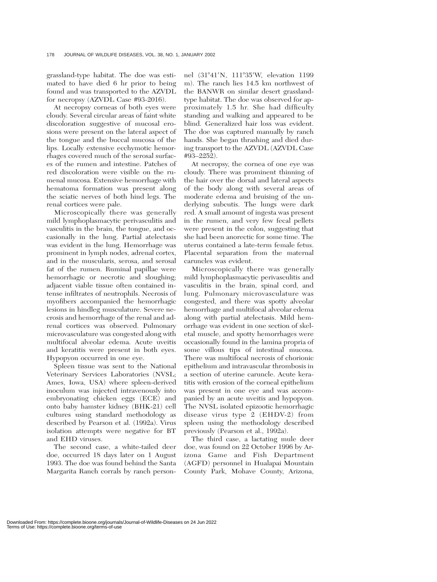grassland-type habitat. The doe was estimated to have died 6 hr prior to being found and was transported to the AZVDL for necropsy (AZVDL Case #93-2016).

At necropsy corneas of both eyes were cloudy. Several circular areas of faint white discoloration suggestive of mucosal erosions were present on the lateral aspect of the tongue and the buccal mucosa of the lips. Locally extensive ecchymotic hemorrhages covered much of the serosal surfaces of the rumen and intestine. Patches of red discoloration were visible on the rumenal mucosa. Extensive hemorrhage with hematoma formation was present along the sciatic nerves of both hind legs. The renal cortices were pale.

Microscopically there was generally mild lymphoplasmacytic perivasculitis and vasculitis in the brain, the tongue, and occasionally in the lung. Partial atelectasis was evident in the lung. Hemorrhage was prominent in lymph nodes, adrenal cortex, and in the muscularis, serosa, and serosal fat of the rumen. Ruminal papillae were hemorrhagic or necrotic and sloughing; adjacent viable tissue often contained intense infiltrates of neutrophils. Necrosis of myofibers accompanied the hemorrhagic lesions in hindleg musculature. Severe necrosis and hemorrhage of the renal and adrenal cortices was observed. Pulmonary microvasculature was congested along with multifocal alveolar edema. Acute uveitis and keratitis were present in both eyes. Hypopyon occurred in one eye.

Spleen tissue was sent to the National Veterinary Services Laboratories (NVSL; Ames, Iowa, USA) where spleen-derived inoculum was injected intravenously into embryonating chicken eggs (ECE) and onto baby hamster kidney (BHK-21) cell cultures using standard methodology as described by Pearson et al. (1992a). Virus isolation attempts were negative for BT and EHD viruses.

The second case, a white-tailed deer doe, occurred 18 days later on 1 August 1993. The doe was found behind the Santa Margarita Ranch corrals by ranch person-

nel (31°41′N, 111°35′W, elevation 1199 m). The ranch lies 14.5 km northwest of the BANWR on similar desert grasslandtype habitat. The doe was observed for approximately 1.5 hr. She had difficulty standing and walking and appeared to be blind. Generalized hair loss was evident. The doe was captured manually by ranch hands. She began thrashing and died during transport to the AZVDL (AZVDL Case #93–2252).

At necropsy, the cornea of one eye was cloudy. There was prominent thinning of the hair over the dorsal and lateral aspects of the body along with several areas of moderate edema and bruising of the underlying subcutis. The lungs were dark red. A small amount of ingesta was present in the rumen, and very few fecal pellets were present in the colon, suggesting that she had been anorectic for some time. The uterus contained a late-term female fetus. Placental separation from the maternal caruncles was evident.

Microscopically there was generally mild lymphoplasmacytic perivasculitis and vasculitis in the brain, spinal cord, and lung. Pulmonary microvasculature was congested, and there was spotty alveolar hemorrhage and multifocal alveolar edema along with partial atelectasis. Mild hemorrhage was evident in one section of skeletal muscle, and spotty hemorrhages were occasionally found in the lamina propria of some villous tips of intestinal mucosa. There was multifocal necrosis of chorionic epithelium and intravascular thrombosis in a section of uterine caruncle. Acute keratitis with erosion of the corneal epithelium was present in one eye and was accompanied by an acute uveitis and hypopyon. The NVSL isolated epizootic hemorrhagic disease virus type 2 (EHDV-2) from spleen using the methodology described previously (Pearson et al., 1992a).

The third case, a lactating mule deer doe, was found on 22 October 1996 by Arizona Game and Fish Department (AGFD) personnel in Hualapai Mountain County Park, Mohave County, Arizona,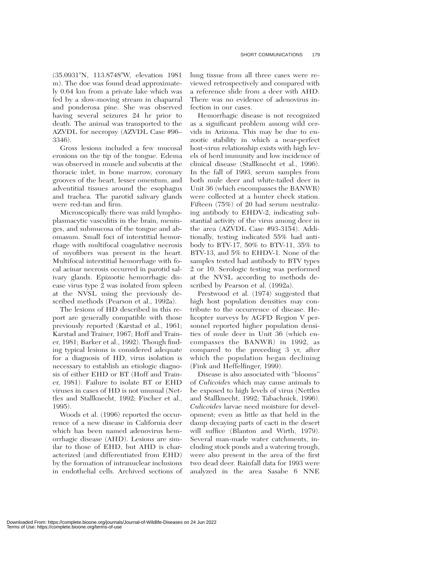(35.0931°N, 113.8748°W, elevation 1981 m). The doe was found dead approximately 0.64 km from a private lake which was fed by a slow-moving stream in chaparral and ponderosa pine. She was observed having several seizures 24 hr prior to death. The animal was transported to the AZVDL for necropsy (AZVDL Case #96– 3346).

Gross lesions included a few mucosal erosions on the tip of the tongue. Edema was observed in muscle and subcutis at the thoracic inlet, in bone marrow, coronary grooves of the heart, lesser omentum, and adventitial tissues around the esophagus and trachea. The parotid salivary glands were red-tan and firm.

Microscopically there was mild lymphoplasmacytic vasculitis in the brain, meninges, and submucosa of the tongue and abomasum. Small foci of interstitial hemorrhage with multifocal coagulative necrosis of myofibers was present in the heart. Multifocal interstitial hemorrhage with focal acinar necrosis occurred in parotid salivary glands. Epizootic hemorrhagic disease virus type 2 was isolated from spleen at the NVSL using the previously described methods (Pearson et al., 1992a).

The lesions of HD described in this report are generally compatible with those previously reported (Karstad et al., 1961; Karstad and Trainer, 1967; Hoff and Trainer, 1981; Barker et al., 1992). Though finding typical lesions is considered adequate for a diagnosis of HD, virus isolation is necessary to establish an etiologic diagnosis of either EHD or BT (Hoff and Trainer, 1981). Failure to isolate BT or EHD viruses in cases of HD is not unusual (Nettles and Stallknecht, 1992; Fischer et al., 1995).

Woods et al. (1996) reported the occurrence of a new disease in California deer which has been named adenovirus hemorrhagic disease (AHD). Lesions are similar to those of EHD, but AHD is characterized (and differentiated from EHD) by the formation of intranuclear inclusions in endothelial cells. Archived sections of lung tissue from all three cases were reviewed retrospectively and compared with a reference slide from a deer with AHD. There was no evidence of adenovirus infection in our cases.

Hemorrhagic disease is not recognized as a significant problem among wild cervids in Arizona. This may be due to enzootic stability in which a near-perfect host-virus relationship exists with high levels of herd immunity and low incidence of clinical disease (Stallknecht et al., 1996). In the fall of 1993, serum samples from both mule deer and white-tailed deer in Unit 36 (which encompasses the BANWR) were collected at a hunter check station. Fifteen (75%) of 20 had serum neutralizing antibody to EHDV-2, indicating substantial activity of the virus among deer in the area (AZVDL Case #93-3154). Additionally, testing indicated 55% had antibody to BTV-17, 50% to BTV-11, 35% to BTV-13, and 5% to EHDV-1. None of the samples tested had antibody to BTV types 2 or 10. Serologic testing was performed at the NVSL according to methods described by Pearson et al. (1992a).

Prestwood et al. (1974) suggested that high host population densities may contribute to the occurrence of disease. Helicopter surveys by AGFD Region V personnel reported higher population densities of mule deer in Unit 36 (which encompasses the BANWR) in 1992, as compared to the preceding 3 yr, after which the population began declining (Fink and Heffelfinger, 1999).

Disease is also associated with ''blooms'' of *Culicoides* which may cause animals to be exposed to high levels of virus (Nettles and Stallknecht, 1992; Tabachnick, 1996). *Culicoides* larvae need moisture for development; even as little as that held in the damp decaying parts of cacti in the desert will suffice (Blanton and Wirth, 1979). Several man-made water catchments, including stock ponds and a watering trough, were also present in the area of the first two dead deer. Rainfall data for 1993 were analyzed in the area Sasabe 6 NNE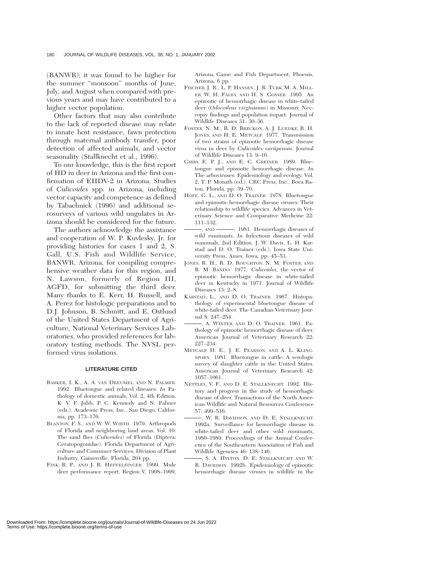(BANWR); it was found to be higher for the summer ''monsoon'' months of June, July, and August when compared with previous years and may have contributed to a higher vector population.

Other factors that may also contribute to the lack of reported disease may relate to innate host resistance, fawn protection through maternal antibody transfer, poor detection of affected animals, and vector seasonality (Stallknecht et al., 1996).

To our knowledge, this is the first report of HD in deer in Arizona and the first confirmation of EHDV-2 in Arizona. Studies of *Culicoides* spp. in Arizona, including vector capacity and competence as defined by Tabachnick (1996) and additional serosurveys of various wild ungulates in Arizona should be considered for the future.

The authors acknowledge the assistance and cooperation of W. P. Kuvlesky, Jr. for providing histories for cases 1 and 2, S. Gall, U.S. Fish and Wildlife Service, BANWR, Arizona, for compiling comprehensive weather data for this region, and N. Lawson, formerly of Region III, AGFD, for submitting the third deer. Many thanks to E. Kerr, H. Russell, and A. Perez for histologic preparations and to D.J. Johnson, B. Schmitt, and E. Ostlund of the United States Department of Agriculture, National Veterinary Services Laboratories, who provided references for laboratory testing methods. The NVSL performed virus isolations.

## **LITERATURE CITED**

- BARKER, I. K., A. A. VAN DREUMEL, AND N. PALMER. 1992. Bluetongue and related diseases. *In* Pathology of domestic animals, Vol. 2, 4th Edition, K. V. F. Jubb, P. C. Kennedy and N. Palmer (eds.). Academic Press, Inc., San Diego, California, pp. 173–176.
- BLANTON, F. S., AND W. W. WIRTH. 1979. Arthropods of Florida and neighboring land areas, Vol. 10: The sand flies (*Culicoides*) of Florida (Diptera: Ceratopogonidae). Florida Department of Agriculture and Consumer Services, Division of Plant Industry, Gainesville, Florida, 204 pp.
- FINK, R. P., AND J. R. HEFFELFINGER. 1999. Mule deer performance report, Region V, 1998–1999,

Arizona Game and Fish Department, Phoenix, Arizona, 6 pp.

- FISCHER, J. R., L. P. HANSEN, J. R. TURK, M. A. MILL-ER, W. H. FALES, AND H. S. GOSSER. 1995. An epizootic of hemorrhagic disease in white-tailed deer (*Odocoileus virginianus*) in Missouri: Necropsy findings and population impact. Journal of Wildlife Diseases 31: 30–36.
- FOSTER, N. M., R. D. BRECKON, A. J. LUEDKE, R. H. JONES, AND H. E. METCALF. 1977. Transmission of two strains of epizootic hemorrhagic disease virus in deer by *Culicoides variipennis.* Journal of Wildlife Diseases 13: 9–16.
- GIBBS, E. P. J., AND E. C. GREINER. 1989. Bluetongue and epizootic hemorrhagic disease. *In* The arboviruses: Epidemiology and ecology, Vol. 2, T. P. Monath (ed.). CRC Press, Inc., Boca Raton, Florida, pp. 39–70.
- HOFF, G. L., AND D. O. TRAINER. 1978. Bluetongue and epizootic hemorrhagic disease viruses: Their relationship to wildlife species. Advances in Veterinary Science and Comparative Medicine 22: 111–132.
- , AND . 1981. Hemorrhagic diseases of wild ruminants. *In* Infectious diseases of wild mammals, 2nd Edition. J. W. Davis, L. H. Karstad and D. O. Trainer (eds.). Iowa State University Press, Ames, Iowa, pp. 45–53.
- JONES, R. H., R. D. ROUGHTON, N. M. FOSTER, AND B. M. BANDO. 1977. *Culicoides,* the vector of epizootic hemorrhagic disease in white-tailed deer in Kentucky in 1971. Journal of Wildlife Diseases 13: 2–8.
- KARSTAD, L., AND D. O. TRAINER. 1967. Histopathology of experimental bluetongue disease of white-tailed deer. The Canadian Veterinary Journal 8: 247–254.
- , A. WINTER, AND D. O. TRAINER. 1961. Pathology of epizootic hemorrhagic disease of deer. American Journal of Veterinary Research 22: 227–234.
- METCALF, H. E., J. E. PEARSON, AND A. L. KLING-SPORN. 1981. Bluetongue in cattle: A serologic survey of slaughter cattle in the United States. American Journal of Veterinary Research 42: 1057–1061.
- NETTLES, V. F., AND D. E. STALLKNECHT. 1992. History and progress in the study of hemorrhagic disease of deer. Transactions of the North American Wildlife and Natural Resources Conference 57: 499–516.
- , W. R. DAVIDSON, AND D. E. STALLKNECHT. 1992a. Surveillance for hemorrhagic disease in white-tailed deer and other wild ruminants, 1980–1989. Proceedings of the Annual Conference of the Southeastern Association of Fish and Wildlife Agencies 46: 138–146.
- , S. A. HYLTON, D. E. STALLKNECHT, AND W. R. DAVIDSON. 1992b. Epidemiology of epizootic hemorrhagic disease viruses in wildlife in the